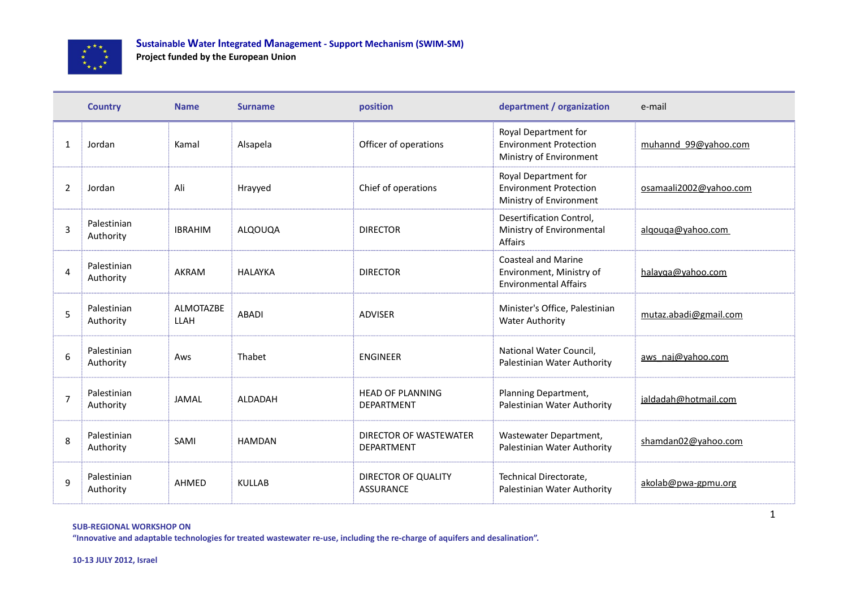

**Project funded by the European Union**

|                | <b>Country</b>           | <b>Name</b>                     | <b>Surname</b> | position                                     | department / organization                                                        | e-mail                 |
|----------------|--------------------------|---------------------------------|----------------|----------------------------------------------|----------------------------------------------------------------------------------|------------------------|
| 1              | Jordan                   | Kamal                           | Alsapela       | Officer of operations                        | Royal Department for<br><b>Environment Protection</b><br>Ministry of Environment | muhannd 99@yahoo.com   |
| $\overline{2}$ | Jordan                   | Ali                             | Hrayyed        | Chief of operations                          | Royal Department for<br><b>Environment Protection</b><br>Ministry of Environment | osamaali2002@yahoo.com |
| 3              | Palestinian<br>Authority | <b>IBRAHIM</b>                  | ALQOUQA        | <b>DIRECTOR</b>                              | Desertification Control,<br>Ministry of Environmental<br>Affairs                 | algouga@yahoo.com      |
| 4              | Palestinian<br>Authority | AKRAM                           | <b>HALAYKA</b> | <b>DIRECTOR</b>                              | Coasteal and Marine<br>Environment, Ministry of<br><b>Environmental Affairs</b>  | halayqa@yahoo.com      |
| 5              | Palestinian<br>Authority | <b>ALMOTAZBE</b><br><b>LLAH</b> | <b>ABADI</b>   | <b>ADVISER</b>                               | Minister's Office, Palestinian<br><b>Water Authority</b>                         | mutaz.abadi@gmail.com  |
| 6              | Palestinian<br>Authority | Aws                             | Thabet         | <b>ENGINEER</b>                              | National Water Council,<br>Palestinian Water Authority                           | aws naj@yahoo.com      |
| $\overline{7}$ | Palestinian<br>Authority | <b>JAMAL</b>                    | ALDADAH        | <b>HEAD OF PLANNING</b><br><b>DEPARTMENT</b> | Planning Department,<br>Palestinian Water Authority                              | jaldadah@hotmail.com   |
| 8              | Palestinian<br>Authority | SAMI                            | <b>HAMDAN</b>  | DIRECTOR OF WASTEWATER<br><b>DEPARTMENT</b>  | Wastewater Department,<br>Palestinian Water Authority                            | shamdan02@yahoo.com    |
| 9              | Palestinian<br>Authority | <b>AHMED</b>                    | <b>KULLAB</b>  | DIRECTOR OF QUALITY<br><b>ASSURANCE</b>      | Technical Directorate,<br>Palestinian Water Authority                            | akolab@pwa-gpmu.org    |

**SUB-REGIONAL WORKSHOP ON** 

**"Innovative and adaptable technologies for treated wastewater re-use, including the re-charge of aquifers and desalination".**